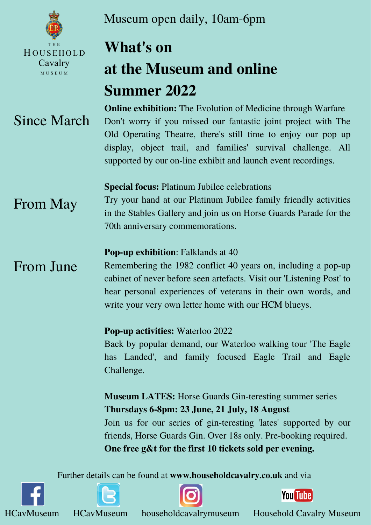

HOUSEHOLD

Cavalry

MUSEUM

Further details can be found at **[www.householdcavalry.co.uk](http://www.householdcavalry.co.uk/)** and via







**You Tube** 

HCavMuseum HCavMuseum householdcavalrymuseum Household Cavalry Museum

### **Special focus:** Platinum Jubilee celebrations

Try your hand at our Platinum Jubilee family friendly activities in the Stables Gallery and join us on Horse Guards Parade for the 70th anniversary commemorations.

### **Pop-up exhibition**: Falklands at 40

**Online exhibition:** The Evolution of Medicine through Warfare Don't worry if you missed our fantastic joint project with The Old Operating Theatre, there's still time to enjoy our pop up display, object trail, and families' survival challenge. All supported by our on-line exhibit and launch event recordings. Since March

> Remembering the 1982 conflict 40 years on, including a pop-up cabinet of never before seen artefacts. Visit our 'Listening Post' to hear personal experiences of veterans in their own words, and write your very own letter home with our HCM blueys.

#### **Pop-up activities:** Waterloo 2022

Back by popular demand, our Waterloo walking tour 'The Eagle has Landed' , and family focused Eagle Trail and Eagle Challenge.

**Museum LATES:** Horse Guards Gin-teresting summer series **Thursdays 6-8pm: 23 June, 21 July, 18 August** Join us for our series of gin-teresting 'lates' supported by our friends, Horse Guards Gin. Over 18s only. Pre-booking required. **One free g&t for the first 10 tickets sold per evening.**

# **What's on at the Museum and online Summer 2022**

From May

From June

Museum open daily, 10am-6pm